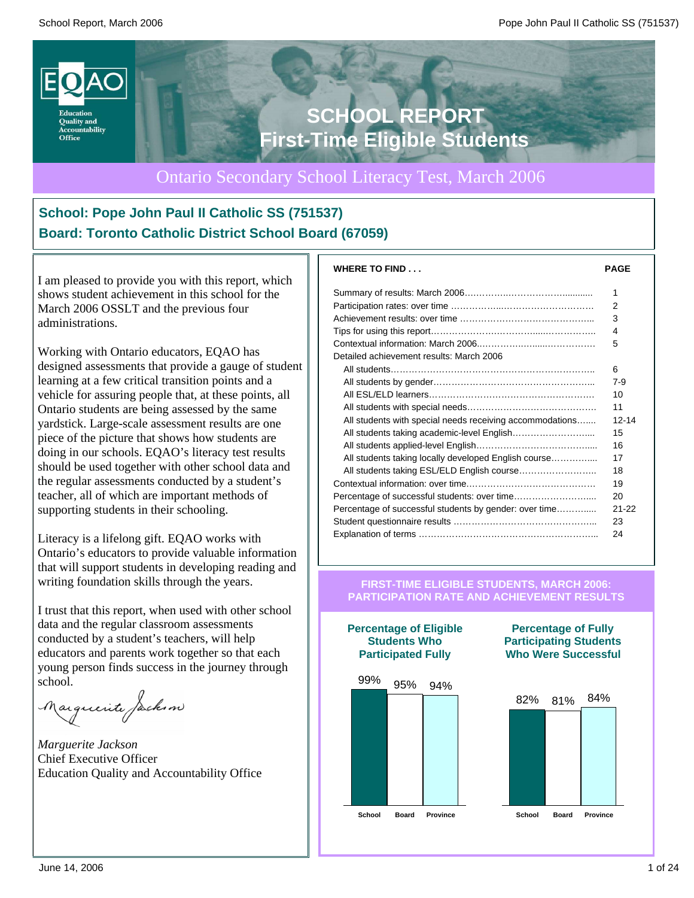

### Ontario Secondary School Literacy Test, March 2006

### **School: Pope John Paul II Catholic SS (751537) Board: Toronto Catholic District School Board (67059)**

I am pleased to provide you with this report, which shows student achievement in this school for the March 2006 OSSLT and the previous four administrations.

Working with Ontario educators, EQAO has designed assessments that provide a gauge of student learning at a few critical transition points and a vehicle for assuring people that, at these points, all Ontario students are being assessed by the same yardstick. Large-scale assessment results are one piece of the picture that shows how students are doing in our schools. EQAO's literacy test results should be used together with other school data and the regular assessments conducted by a student's teacher, all of which are important methods of supporting students in their schooling.

Literacy is a lifelong gift. EQAO works with Ontario's educators to provide valuable information that will support students in developing reading and writing foundation skills through the years.

I trust that this report, when used with other school data and the regular classroom assessments conducted by a student's teachers, will help educators and parents work together so that each young person finds success in the journey through school.

Marguerite Jackson

*Marguerite Jackson* Chief Executive Officer Education Quality and Accountability Office

| <b>WHERE TO FIND</b>                                     | <b>PAGE</b> |
|----------------------------------------------------------|-------------|
|                                                          | 1           |
|                                                          | 2           |
|                                                          | 3           |
|                                                          | 4           |
|                                                          | 5           |
| Detailed achievement results: March 2006                 |             |
|                                                          | 6           |
|                                                          | $7-9$       |
|                                                          | 10          |
|                                                          | 11          |
| All students with special needs receiving accommodations | $12 - 14$   |
|                                                          | 15          |
|                                                          | 16          |
| All students taking locally developed English course     | 17          |
|                                                          | 18          |
|                                                          | 19          |
| Percentage of successful students: over time             | 20          |
| Percentage of successful students by gender: over time   | $21 - 22$   |
|                                                          | 23          |
|                                                          | 24          |

#### **FIRST-TIME ELIGIBLE STUDENTS, MARCH 2006: PARTICIPATION RATE AND ACHIEVEMENT RESULTS**



#### **Percentage of Fully Participating Students Who Were Successful**

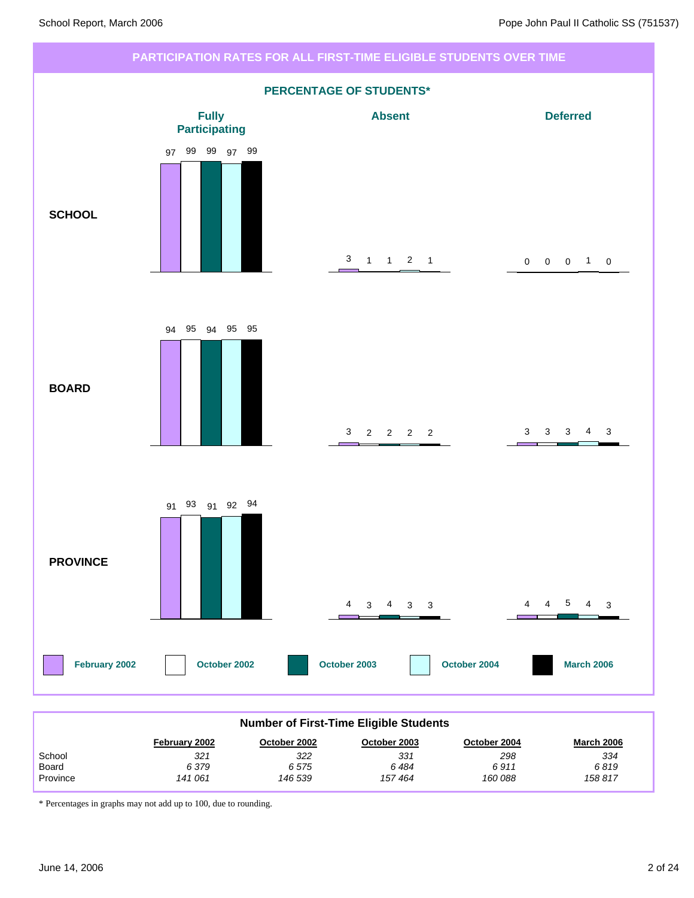

| <b>Number of First-Time Eligible Students</b>                                      |         |         |         |         |         |  |  |  |  |
|------------------------------------------------------------------------------------|---------|---------|---------|---------|---------|--|--|--|--|
| <b>March 2006</b><br>October 2003<br>October 2002<br>Februarv 2002<br>October 2004 |         |         |         |         |         |  |  |  |  |
| School                                                                             | 321     | 322     | 331     | 298     | 334     |  |  |  |  |
| Board                                                                              | 6379    | 6575    | 6 484   | 6911    | 6819    |  |  |  |  |
| Province                                                                           | 141 061 | 146 539 | 157 464 | 160 088 | 158 817 |  |  |  |  |

\* Percentages in graphs may not add up to 100, due to rounding.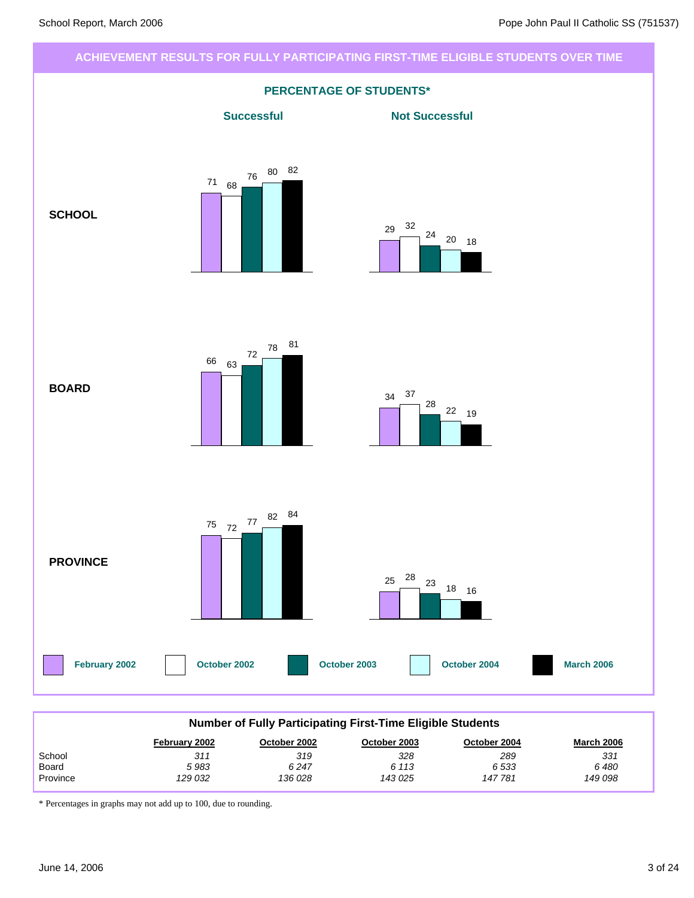# **ACHIEVEMENT RESULTS FOR FULLY PARTICIPATING FIRST-TIME ELIGIBLE STUDENTS OVER TIME PERCENTAGE OF STUDENTS\***



| <b>Number of Fully Participating First-Time Eligible Students</b> |               |              |              |              |                   |  |  |  |
|-------------------------------------------------------------------|---------------|--------------|--------------|--------------|-------------------|--|--|--|
|                                                                   | February 2002 | October 2002 | October 2003 | October 2004 | <b>March 2006</b> |  |  |  |
| School                                                            | 311           | 319          | 328          | 289          | 331               |  |  |  |
| Board                                                             | 5983          | 6247         | 6 1 1 3      | 6533         | 6480              |  |  |  |
| Province                                                          | 129 032       | 136 028      | 143 025      | 147781       | 149 098           |  |  |  |

\* Percentages in graphs may not add up to 100, due to rounding.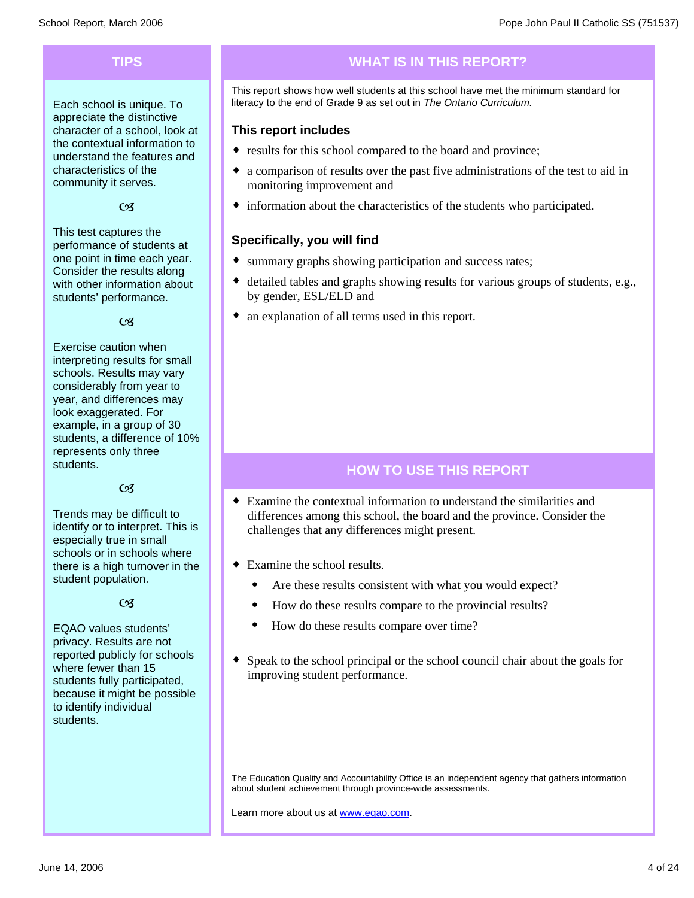Each school is unique. To appreciate the distinctive character of a school, look at the contextual information to understand the features and characteristics of the community it serves.

#### $\mathcal{C}$

This test captures the performance of students at one point in time each year. Consider the results along with other information about students' performance.

#### $\alpha$

Exercise caution when interpreting results for small schools. Results may vary considerably from year to year, and differences may look exaggerated. For example, in a group of 30 students, a difference of 10% represents only three students.

#### $\mathcal{C}$

Trends may be difficult to identify or to interpret. This is especially true in small schools or in schools where there is a high turnover in the student population.

#### $\alpha$

EQAO values students' privacy. Results are not reported publicly for schools where fewer than 15 students fully participated, because it might be possible to identify individual students.

### **TIPS WHAT IS IN THIS REPORT?**

This report shows how well students at this school have met the minimum standard for literacy to the end of Grade 9 as set out in *The Ontario Curriculum.*

#### **This report includes**

- results for this school compared to the board and province;
- a comparison of results over the past five administrations of the test to aid in monitoring improvement and
- information about the characteristics of the students who participated.

#### **Specifically, you will find**

- summary graphs showing participation and success rates;
- $\bullet$  detailed tables and graphs showing results for various groups of students, e.g., by gender, ESL/ELD and
- $\bullet$  an explanation of all terms used in this report.

### **HOW TO USE THIS REPORT**

- $\bullet$  Examine the contextual information to understand the similarities and differences among this school, the board and the province. Consider the challenges that any differences might present.
- $\bullet$  Examine the school results.
	- Are these results consistent with what you would expect?
	- · How do these results compare to the provincial results?
	- How do these results compare over time?
- Speak to the school principal or the school council chair about the goals for improving student performance.

The Education Quality and Accountability Office is an independent agency that gathers information about student achievement through province-wide assessments.

Learn more about us at www.eqao.com.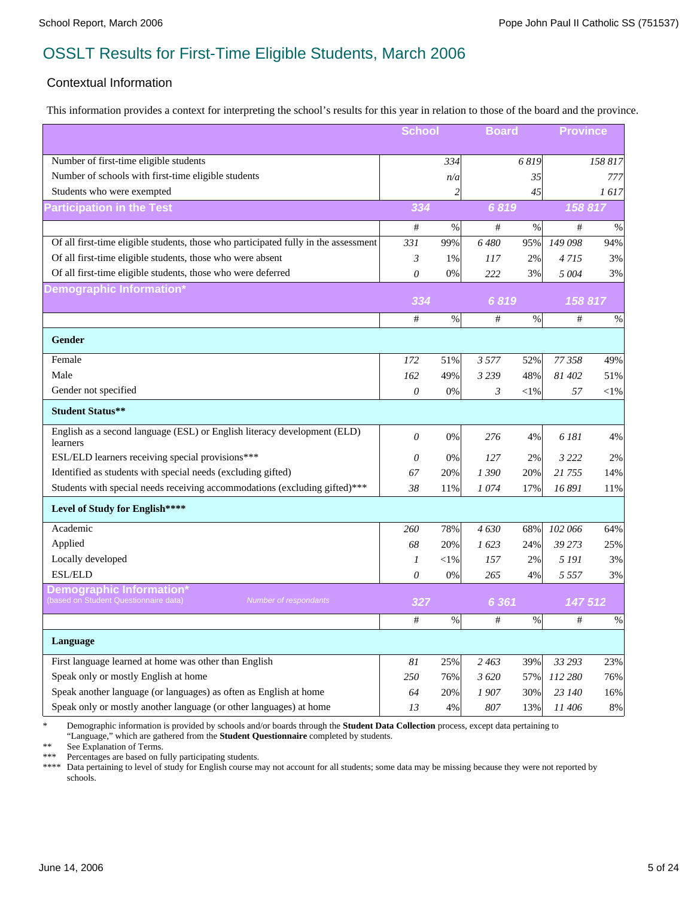#### Contextual Information

This information provides a context for interpreting the school's results for this year in relation to those of the board and the province.

|                                                                                                       | <b>School</b>  |                | <b>Board</b> |          | <b>Province</b> |          |
|-------------------------------------------------------------------------------------------------------|----------------|----------------|--------------|----------|-----------------|----------|
| Number of first-time eligible students                                                                |                | 334            |              | 6819     |                 | 158 817  |
| Number of schools with first-time eligible students                                                   |                | n/a            |              | 35       |                 | 777      |
| Students who were exempted                                                                            |                | $\overline{c}$ |              | 45       |                 | 1617     |
| <b>Participation in the Test</b>                                                                      | 334            |                | 6819         |          | 158 817         |          |
|                                                                                                       | $\#$           | $\%$           | #            | $\%$     | #               | %        |
| Of all first-time eligible students, those who participated fully in the assessment                   | 331            | 99%            | 6480         | 95%      | 149 098         | 94%      |
| Of all first-time eligible students, those who were absent                                            | $\mathfrak{Z}$ | 1%             | 117          | 2%       | 4715            | 3%       |
| Of all first-time eligible students, those who were deferred                                          | 0              | $0\%$          | 222          | 3%       | 5 0 0 4         | 3%       |
| Demographic Information*                                                                              | 334            |                | 6819         |          | 158 817         |          |
|                                                                                                       | #              | $\%$           | #            | $\%$     | #               | %        |
| Gender                                                                                                |                |                |              |          |                 |          |
| Female                                                                                                | 172            | 51%            | 3 5 7 7      | 52%      | 77 358          | 49%      |
| Male                                                                                                  | 162            | 49%            | 3 2 3 9      | 48%      | 81 402          | 51%      |
| Gender not specified                                                                                  | 0              | 0%             | 3            | ${<}1\%$ | 57              | ${<}1\%$ |
| <b>Student Status**</b>                                                                               |                |                |              |          |                 |          |
| English as a second language (ESL) or English literacy development (ELD)<br>learners                  | 0              | 0%             | 276          | 4%       | 6 181           | 4%       |
| ESL/ELD learners receiving special provisions***                                                      | 0              | 0%             | 127          | 2%       | 3 2 2 2         | 2%       |
| Identified as students with special needs (excluding gifted)                                          | 67             | 20%            | 1390         | 20%      | 21 755          | 14%      |
| Students with special needs receiving accommodations (excluding gifted)***                            | 38             | 11%            | 1074         | 17%      | 16 891          | 11%      |
| Level of Study for English****                                                                        |                |                |              |          |                 |          |
| Academic                                                                                              | 260            | 78%            | 4630         | 68%      | 102 066         | 64%      |
| Applied                                                                                               | 68             | 20%            | 1623         | 24%      | 39 273          | 25%      |
| Locally developed                                                                                     | 1              | $<$ l $%$      | 157          | 2%       | 5 191           | 3%       |
| <b>ESL/ELD</b>                                                                                        | 0              | 0%             | 265          | 4%       | 5 5 5 7         | 3%       |
| Demographic Information <sup>®</sup><br>based on Student Questionnaire data)<br>Number of respondants | 327            |                | 6 3 6 1      |          | 147512          |          |
|                                                                                                       | #              | $\%$           | #            | $\%$     | #               | %        |
| Language                                                                                              |                |                |              |          |                 |          |
| First language learned at home was other than English                                                 | 81             | 25%            | 2463         | 39%      | 33 293          | 23%      |
| Speak only or mostly English at home                                                                  | 250            | 76%            | 3620         | 57%      | 112 280         | 76%      |
| Speak another language (or languages) as often as English at home                                     | 64             | 20%            | 1907         | 30%      | 23 140          | 16%      |
| Speak only or mostly another language (or other languages) at home                                    | 13             | 4%             | 807          | 13%      | 11406           | 8%       |

\* Demographic information is provided by schools and/or boards through the **Student Data Collection** process, except data pertaining to "Language," which are gathered from the **Student Questionnaire** completed by students.

\*\* See Explanation of Terms.<br>\*\*\* Percentages are based on f

\*\*\* Percentages are based on fully participating students.<br>\*\*\*\* Data pertaining to level of study for English course m

Data pertaining to level of study for English course may not account for all students; some data may be missing because they were not reported by schools.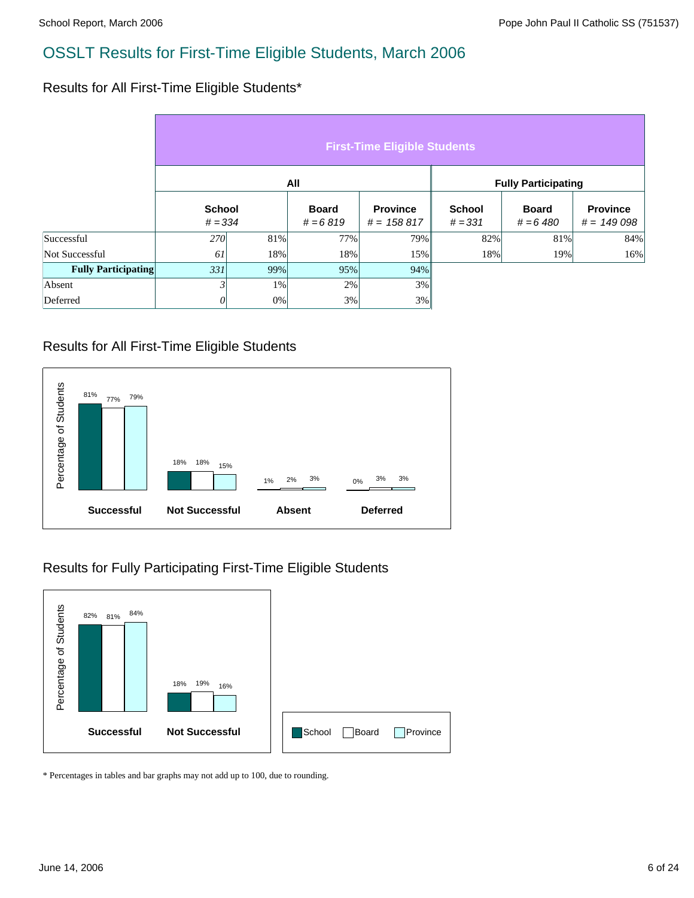#### Results for All First-Time Eligible Students\*

|                            | <b>First-Time Eligible Students</b> |       |                            |                                 |                            |                             |                                 |  |  |  |  |
|----------------------------|-------------------------------------|-------|----------------------------|---------------------------------|----------------------------|-----------------------------|---------------------------------|--|--|--|--|
|                            |                                     |       | All                        |                                 | <b>Fully Participating</b> |                             |                                 |  |  |  |  |
|                            | <b>School</b><br>$# = 334$          |       | <b>Board</b><br>$# = 6819$ | <b>Province</b><br>$# = 158817$ | <b>School</b><br>$# = 331$ | <b>Board</b><br>$# = 6,480$ | <b>Province</b><br>$# = 149098$ |  |  |  |  |
| Successful                 | <b>270</b>                          | 81%   | 77%                        | 79%                             | 82%                        | 81%                         | 84%                             |  |  |  |  |
| Not Successful             | 61                                  | 18%   | 18%                        | 15%                             | 18%                        | 19%                         | 16%                             |  |  |  |  |
| <b>Fully Participating</b> | 331                                 | 99%   | 95%                        | 94%                             |                            |                             |                                 |  |  |  |  |
| Absent                     | 3                                   | $1\%$ | 2%                         | 3%                              |                            |                             |                                 |  |  |  |  |
| Deferred                   | $\theta$                            | 0%    | 3%                         | 3%                              |                            |                             |                                 |  |  |  |  |

### Results for All First-Time Eligible Students



### Results for Fully Participating First-Time Eligible Students



\* Percentages in tables and bar graphs may not add up to 100, due to rounding.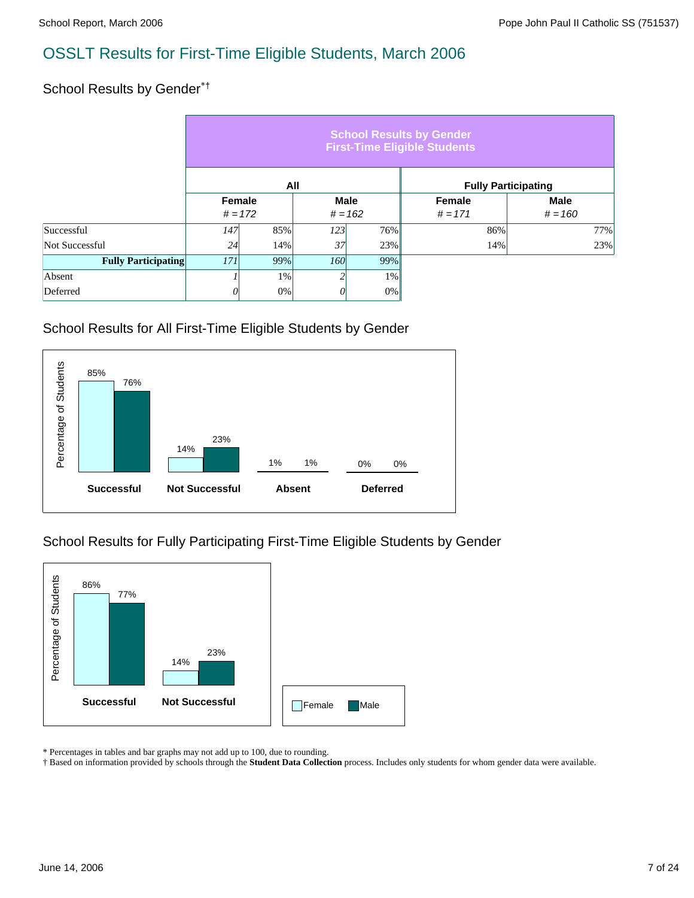### School Results by Gender\*†

|                            | <b>School Results by Gender</b><br><b>First-Time Eligible Students</b> |       |                          |     |                            |                          |  |  |  |
|----------------------------|------------------------------------------------------------------------|-------|--------------------------|-----|----------------------------|--------------------------|--|--|--|
|                            |                                                                        |       | All                      |     | <b>Fully Participating</b> |                          |  |  |  |
|                            | Female<br>$# = 172$                                                    |       | <b>Male</b><br>$# = 162$ |     | <b>Female</b><br>$# = 171$ | <b>Male</b><br>$# = 160$ |  |  |  |
| Successful                 | 147 <sup> </sup>                                                       | 85%   | 123                      | 76% | 86%                        | 77%                      |  |  |  |
| Not Successful             | 24                                                                     | 14%   | 37                       | 23% | 14%                        | 23%                      |  |  |  |
| <b>Fully Participating</b> | 171                                                                    | 99%   | <i>160</i>               | 99% |                            |                          |  |  |  |
| Absent                     |                                                                        | $1\%$ |                          | 1%  |                            |                          |  |  |  |
| Deferred                   | 01                                                                     | 0%    | 0                        | 0%  |                            |                          |  |  |  |

#### School Results for All First-Time Eligible Students by Gender



### School Results for Fully Participating First-Time Eligible Students by Gender



\* Percentages in tables and bar graphs may not add up to 100, due to rounding.

† Based on information provided by schools through the **Student Data Collection** process. Includes only students for whom gender data were available.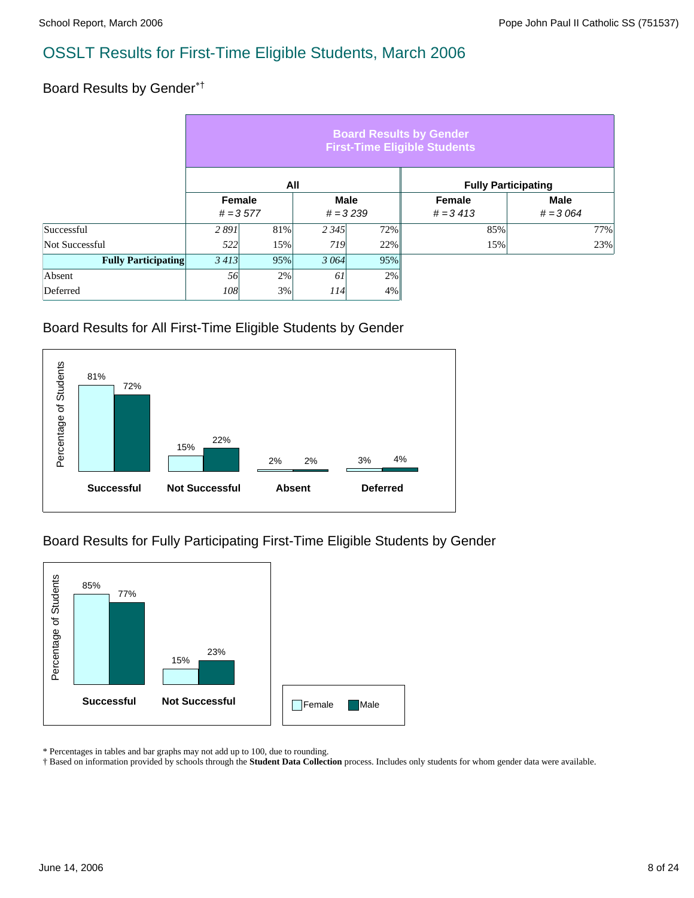#### Board Results by Gender\*†

|                            | <b>Board Results by Gender</b><br><b>First-Time Eligible Students</b> |     |                           |     |                      |                            |  |  |  |
|----------------------------|-----------------------------------------------------------------------|-----|---------------------------|-----|----------------------|----------------------------|--|--|--|
|                            |                                                                       | All |                           |     |                      | <b>Fully Participating</b> |  |  |  |
|                            | Female<br>$# = 3577$                                                  |     | <b>Male</b><br>$# = 3239$ |     | Female<br>$# = 3413$ | <b>Male</b><br>$# = 3.064$ |  |  |  |
| Successful                 | 2891                                                                  | 81% | 2 3 4 5                   | 72% | 85%                  | 77%                        |  |  |  |
| Not Successful             | 522                                                                   | 15% | 719                       | 22% | 15%                  | 23%                        |  |  |  |
| <b>Fully Participating</b> | 3413<br>95%                                                           |     | 3 0 64                    | 95% |                      |                            |  |  |  |
| Absent                     | 56                                                                    | 2%  | 61                        | 2%  |                      |                            |  |  |  |
| Deferred                   | 108                                                                   | 3%  | 114                       | 4%  |                      |                            |  |  |  |

#### Board Results for All First-Time Eligible Students by Gender



### Board Results for Fully Participating First-Time Eligible Students by Gender



\* Percentages in tables and bar graphs may not add up to 100, due to rounding.

† Based on information provided by schools through the **Student Data Collection** process. Includes only students for whom gender data were available.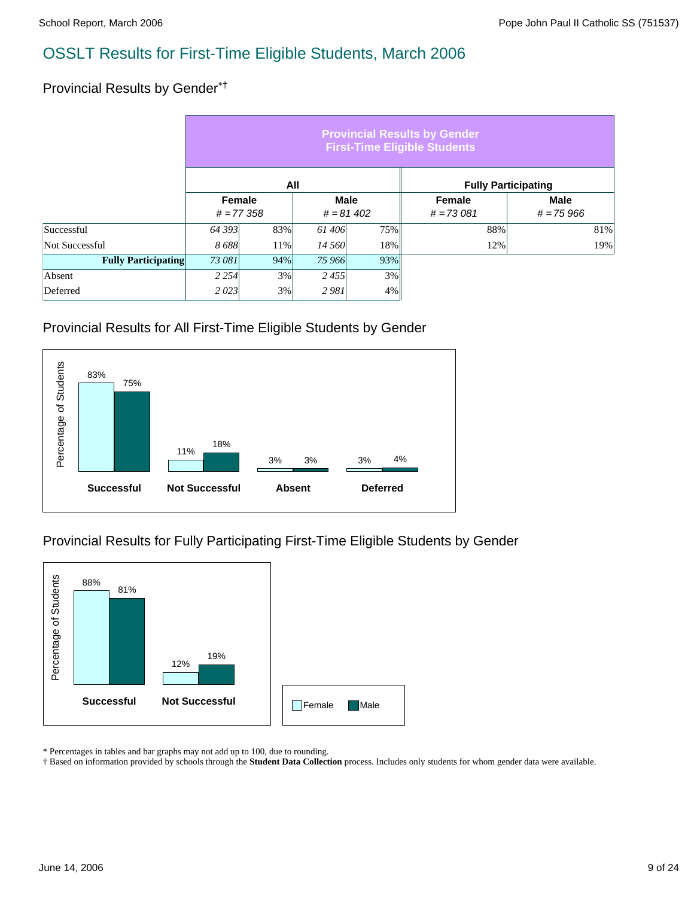#### Provincial Results by Gender\*†

|                            | <b>Provincial Results by Gender</b><br><b>First-Time Eligible Students</b> |                                                       |               |                       |                            |     |  |  |  |
|----------------------------|----------------------------------------------------------------------------|-------------------------------------------------------|---------------|-----------------------|----------------------------|-----|--|--|--|
|                            |                                                                            | All                                                   |               |                       | <b>Fully Participating</b> |     |  |  |  |
|                            |                                                                            | Female<br><b>Male</b><br>$# = 77.358$<br>$# = 81,402$ |               | Female<br>$# = 73081$ | <b>Male</b><br>$# = 75966$ |     |  |  |  |
| Successful                 | 64 393                                                                     | 83%                                                   | 61406         | 75%                   | 88%                        | 81% |  |  |  |
| Not Successful             | 8688                                                                       | 11%                                                   | <i>14 560</i> | 18%                   | 12%                        | 19% |  |  |  |
| <b>Fully Participating</b> | 73 081<br>94%                                                              |                                                       | 75 966        | 93%                   |                            |     |  |  |  |
| Absent                     | 2 2 5 4                                                                    | 3%                                                    | 2455          | 3%                    |                            |     |  |  |  |
| Deferred                   | 2023                                                                       | 3%                                                    | 2981          | 4%                    |                            |     |  |  |  |

#### Provincial Results for All First-Time Eligible Students by Gender



### Provincial Results for Fully Participating First-Time Eligible Students by Gender



\* Percentages in tables and bar graphs may not add up to 100, due to rounding.

† Based on information provided by schools through the **Student Data Collection** process. Includes only students for whom gender data were available.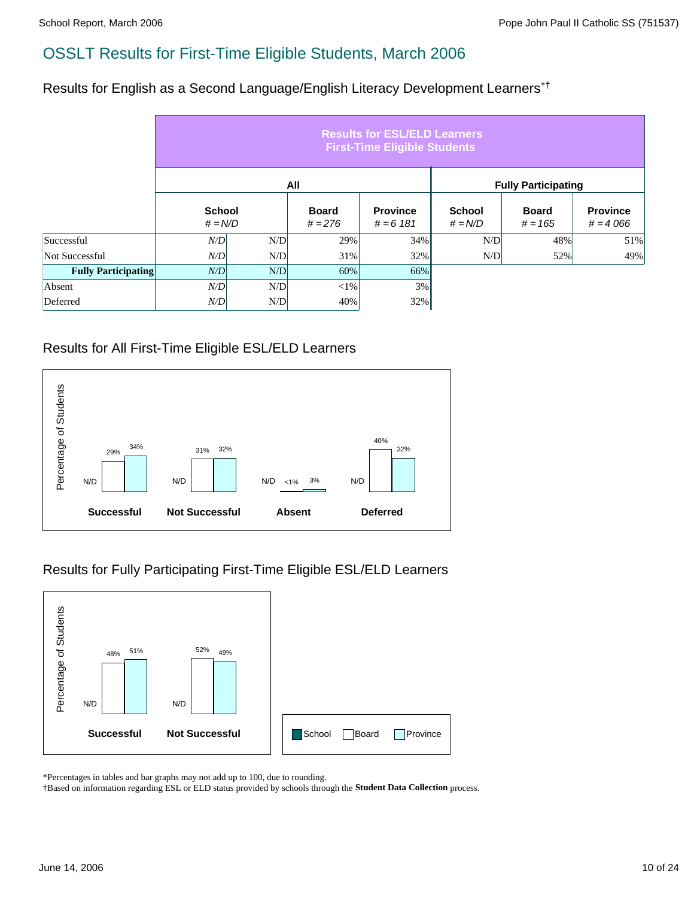Results for English as a Second Language/English Literacy Development Learners\*†

|                            | <b>Results for ESL/ELD Learners</b><br><b>First-Time Eligible Students</b> |     |                           |                                |                            |                            |                               |  |  |  |
|----------------------------|----------------------------------------------------------------------------|-----|---------------------------|--------------------------------|----------------------------|----------------------------|-------------------------------|--|--|--|
|                            |                                                                            |     | All                       |                                |                            | <b>Fully Participating</b> |                               |  |  |  |
|                            | <b>School</b><br>$# = N/D$                                                 |     | <b>Board</b><br>$# = 276$ | <b>Province</b><br>$# = 6 181$ | <b>School</b><br>$# = N/D$ | <b>Board</b><br>$# = 165$  | <b>Province</b><br>$# = 4066$ |  |  |  |
| Successful                 | N/D                                                                        | N/D | 29%                       | 34%                            | N/D                        | 48%                        | 51%                           |  |  |  |
| Not Successful             | N/D                                                                        | N/D | 31%                       | 32%                            | N/D                        | 52%                        | 49%                           |  |  |  |
| <b>Fully Participating</b> | N/D                                                                        | N/D | 60%                       | 66%                            |                            |                            |                               |  |  |  |
| Absent                     | N/D                                                                        | N/D | <1%                       | 3%                             |                            |                            |                               |  |  |  |
| Deferred                   | N/D                                                                        | N/D | 40%                       | 32%                            |                            |                            |                               |  |  |  |

### Results for All First-Time Eligible ESL/ELD Learners



### Results for Fully Participating First-Time Eligible ESL/ELD Learners



\*Percentages in tables and bar graphs may not add up to 100, due to rounding.

†Based on information regarding ESL or ELD status provided by schools through the **Student Data Collection** process.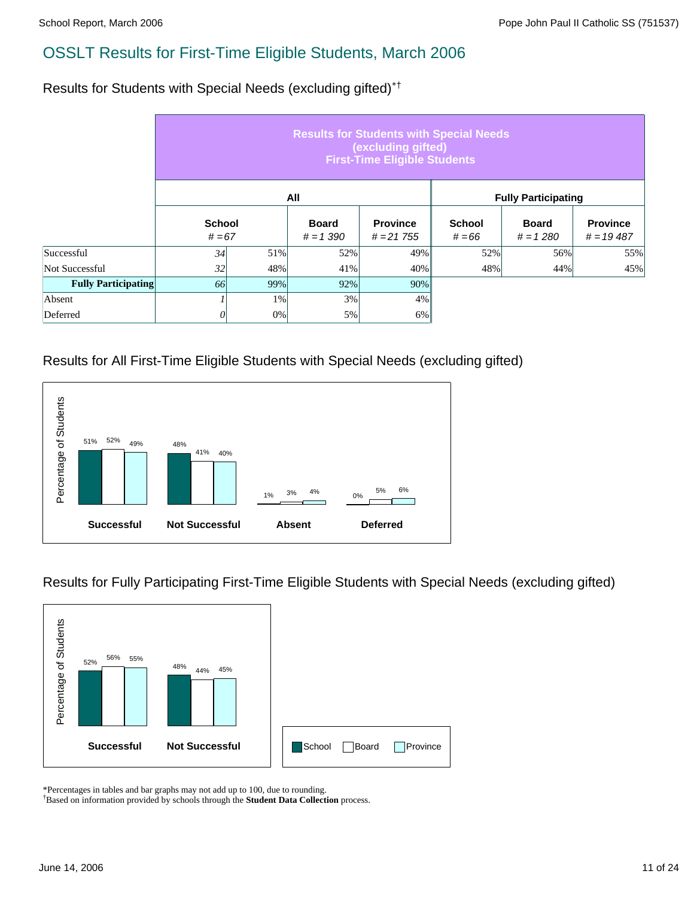Results for Students with Special Needs (excluding gifted)\*†

|                            | <b>Results for Students with Special Needs</b><br>(excluding gifted)<br><b>First-Time Eligible Students</b> |                           |     |                                |                           |                            |                                |  |  |  |
|----------------------------|-------------------------------------------------------------------------------------------------------------|---------------------------|-----|--------------------------------|---------------------------|----------------------------|--------------------------------|--|--|--|
|                            |                                                                                                             | All                       |     | <b>Fully Participating</b>     |                           |                            |                                |  |  |  |
|                            |                                                                                                             | <b>School</b><br>$# = 67$ |     | <b>Province</b><br>$# = 21755$ | <b>School</b><br>$# = 66$ | <b>Board</b><br>$# = 1280$ | <b>Province</b><br>$# = 19487$ |  |  |  |
| Successful                 | 34                                                                                                          | 51%                       | 52% | 49%                            | 52%                       | 56%                        | 55%                            |  |  |  |
| Not Successful             | 32 <sup>2</sup>                                                                                             | 48%                       | 41% | 40%                            | 48%                       | 44%                        | 45%                            |  |  |  |
| <b>Fully Participating</b> | 66                                                                                                          | 99%                       | 92% | 90%                            |                           |                            |                                |  |  |  |
| Absent                     |                                                                                                             | $1\%$                     | 3%  | 4%                             |                           |                            |                                |  |  |  |
| Deferred                   | 0                                                                                                           | $0\%$                     | 5%  | 6%                             |                           |                            |                                |  |  |  |

### Results for All First-Time Eligible Students with Special Needs (excluding gifted)



Results for Fully Participating First-Time Eligible Students with Special Needs (excluding gifted)



\*Percentages in tables and bar graphs may not add up to 100, due to rounding.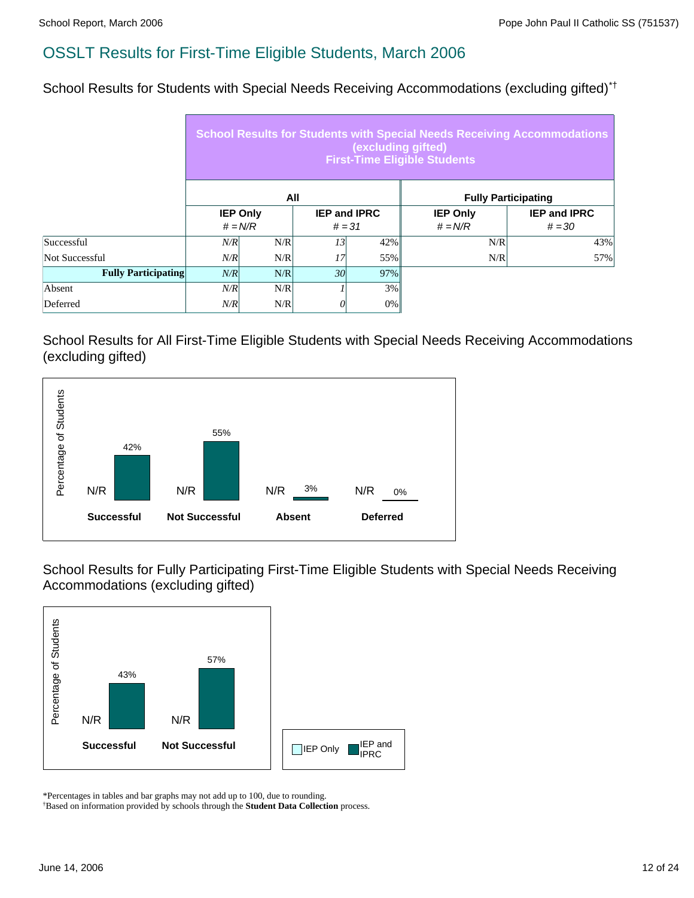School Results for Students with Special Needs Receiving Accommodations (excluding gifted)\*†

|                            | <b>School Results for Students with Special Needs Receiving Accommodations</b><br>(excluding gifted)<br><b>First-Time Eligible Students</b> |           |          |                     |                              |                                 |  |  |  |
|----------------------------|---------------------------------------------------------------------------------------------------------------------------------------------|-----------|----------|---------------------|------------------------------|---------------------------------|--|--|--|
|                            |                                                                                                                                             | All       |          |                     | <b>Fully Participating</b>   |                                 |  |  |  |
|                            | <b>IEP Only</b><br>$# = N/R$                                                                                                                |           | $# = 31$ | <b>IEP and IPRC</b> | <b>IEP Only</b><br>$# = N/R$ | <b>IEP and IPRC</b><br>$# = 30$ |  |  |  |
| Successful                 | N/R                                                                                                                                         | N/R       | 13       | 42%                 | N/R                          | 43%                             |  |  |  |
| Not Successful             | N/R                                                                                                                                         | N/R       | 17       | 55%                 | N/R                          | 57%                             |  |  |  |
| <b>Fully Participating</b> | N/R<br>N/R                                                                                                                                  |           | 30       | 97%                 |                              |                                 |  |  |  |
| Absent                     | N/R                                                                                                                                         | N/R       |          | 3%                  |                              |                                 |  |  |  |
| Deferred                   | N/R                                                                                                                                         | N/R<br>0% |          |                     |                              |                                 |  |  |  |

School Results for All First-Time Eligible Students with Special Needs Receiving Accommodations (excluding gifted)



School Results for Fully Participating First-Time Eligible Students with Special Needs Receiving Accommodations (excluding gifted)



\*Percentages in tables and bar graphs may not add up to 100, due to rounding.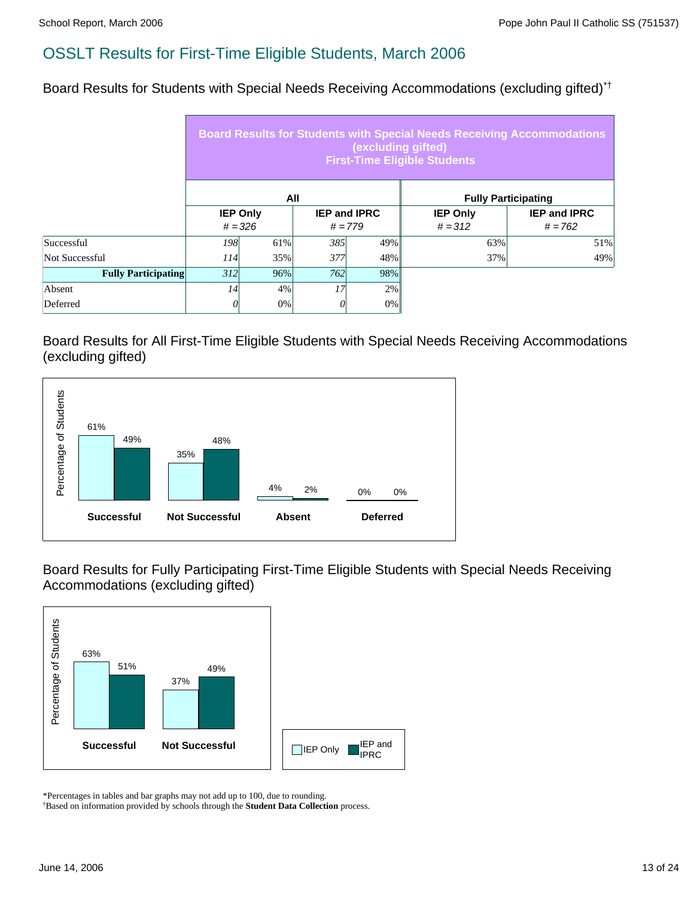Board Results for Students with Special Needs Receiving Accommodations (excluding gifted)\*†

|                            | <b>Board Results for Students with Special Needs Receiving Accommodations</b><br>(excluding gifted)<br><b>First-Time Eligible Students</b> |                              |                                  |     |                              |                                  |  |  |  |
|----------------------------|--------------------------------------------------------------------------------------------------------------------------------------------|------------------------------|----------------------------------|-----|------------------------------|----------------------------------|--|--|--|
|                            |                                                                                                                                            |                              | All                              |     |                              | <b>Fully Participating</b>       |  |  |  |
|                            |                                                                                                                                            | <b>IEP Only</b><br>$# = 326$ | <b>IEP and IPRC</b><br>$# = 779$ |     | <b>IEP Only</b><br>$# = 312$ | <b>IEP and IPRC</b><br>$# = 762$ |  |  |  |
| Successful                 | 198                                                                                                                                        | 61%                          | 385                              | 49% | 63%                          | 51%                              |  |  |  |
| Not Successful             | <i>114</i>                                                                                                                                 | 35%                          | 377                              | 48% | 37%                          | 49%                              |  |  |  |
| <b>Fully Participating</b> | 312<br>96%                                                                                                                                 |                              | 762                              | 98% |                              |                                  |  |  |  |
| Absent                     | 14                                                                                                                                         | 4%                           | 17 <sup>1</sup>                  | 2%  |                              |                                  |  |  |  |
| Deferred                   | $\theta$                                                                                                                                   | 0%                           | 0                                | 0%  |                              |                                  |  |  |  |

Board Results for All First-Time Eligible Students with Special Needs Receiving Accommodations (excluding gifted)



Board Results for Fully Participating First-Time Eligible Students with Special Needs Receiving Accommodations (excluding gifted)



\*Percentages in tables and bar graphs may not add up to 100, due to rounding.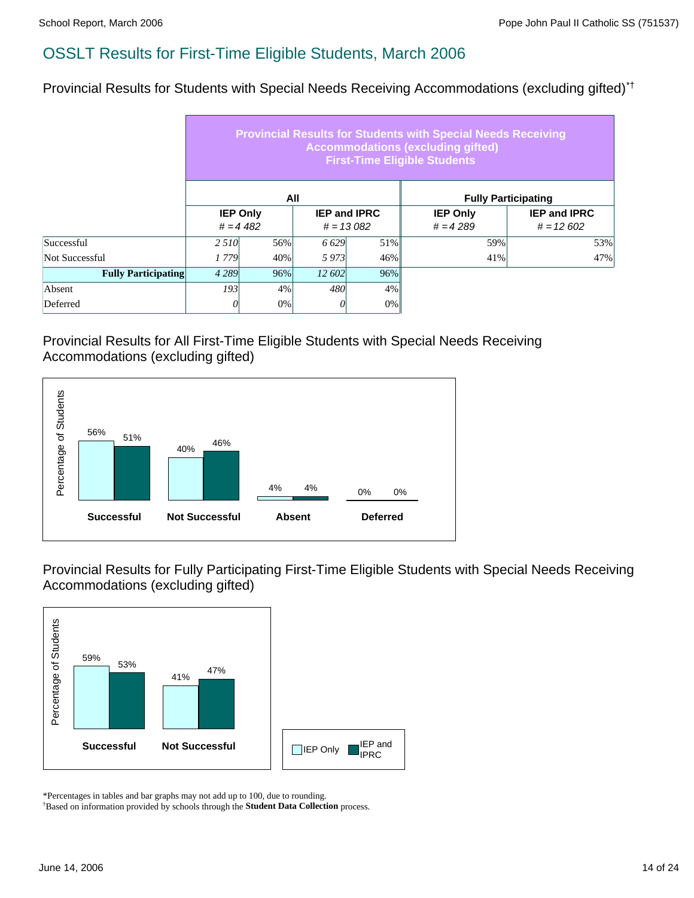Provincial Results for Students with Special Needs Receiving Accommodations (excluding gifted)\*†

|                            | <b>Provincial Results for Students with Special Needs Receiving</b><br><b>Accommodations (excluding gifted)</b><br><b>First-Time Eligible Students</b> |                 |        |                                    |                               |                                    |  |  |  |  |  |
|----------------------------|--------------------------------------------------------------------------------------------------------------------------------------------------------|-----------------|--------|------------------------------------|-------------------------------|------------------------------------|--|--|--|--|--|
|                            |                                                                                                                                                        | All             |        | <b>Fully Participating</b>         |                               |                                    |  |  |  |  |  |
|                            | $# = 4482$                                                                                                                                             | <b>IEP Only</b> |        | <b>IEP and IPRC</b><br>$# = 13082$ | <b>IEP Only</b><br>$# = 4289$ | <b>IEP and IPRC</b><br>$# = 12602$ |  |  |  |  |  |
| Successful                 | 2 5 1 0                                                                                                                                                | 56%             | 6 6 29 | 51%                                | 59%                           | 53%                                |  |  |  |  |  |
| Not Successful             | 1 7 7 9                                                                                                                                                | 40%             | 5973   | 46%                                | 41%                           | 47%                                |  |  |  |  |  |
| <b>Fully Participating</b> | 4 2 8 9                                                                                                                                                | 96%             | 12 602 | $96\%$                             |                               |                                    |  |  |  |  |  |
| Absent                     | 193 <sup> </sup>                                                                                                                                       | 4%              | 480    | 4%                                 |                               |                                    |  |  |  |  |  |
| Deferred                   | 0                                                                                                                                                      | 0%              | 0      | $0\%$                              |                               |                                    |  |  |  |  |  |

#### Provincial Results for All First-Time Eligible Students with Special Needs Receiving Accommodations (excluding gifted)



Provincial Results for Fully Participating First-Time Eligible Students with Special Needs Receiving Accommodations (excluding gifted)



\*Percentages in tables and bar graphs may not add up to 100, due to rounding.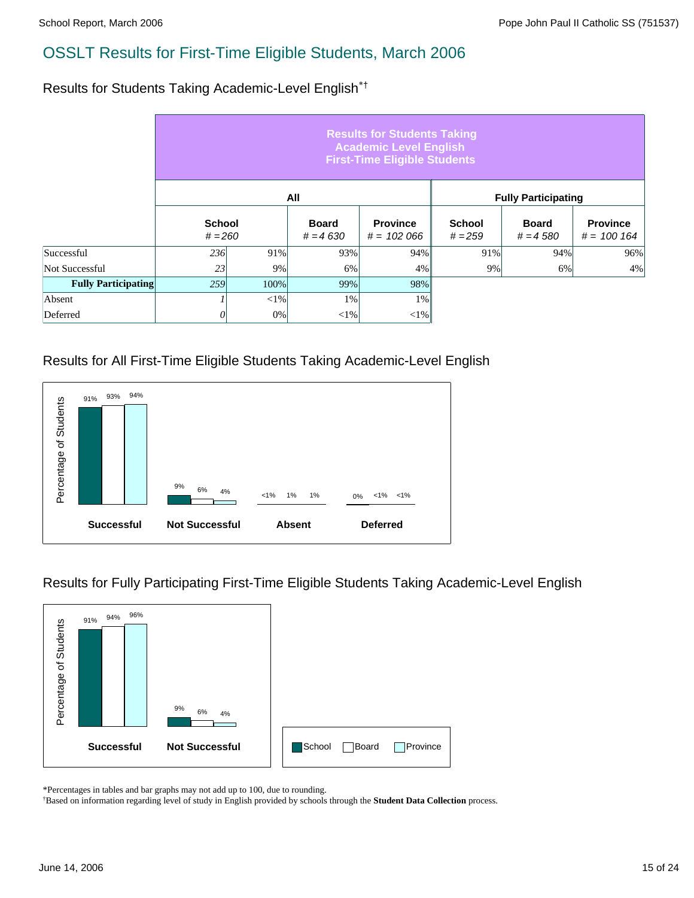Results for Students Taking Academic-Level English\*†

|                            | <b>Results for Students Taking</b><br><b>Academic Level English</b><br><b>First-Time Eligible Students</b> |                            |     |                                  |                            |                            |                                 |  |  |  |  |  |  |
|----------------------------|------------------------------------------------------------------------------------------------------------|----------------------------|-----|----------------------------------|----------------------------|----------------------------|---------------------------------|--|--|--|--|--|--|
|                            | All<br><b>Fully Participating</b>                                                                          |                            |     |                                  |                            |                            |                                 |  |  |  |  |  |  |
|                            |                                                                                                            | <b>School</b><br>$# = 260$ |     | <b>Province</b><br>$# = 102 066$ | <b>School</b><br>$# = 259$ | <b>Board</b><br>$# = 4580$ | <b>Province</b><br>$# = 100164$ |  |  |  |  |  |  |
| Successful                 | 236                                                                                                        | 91%                        | 93% | 94%                              | 91%                        | 94%                        | 96%                             |  |  |  |  |  |  |
| Not Successful             | 23                                                                                                         | 9%                         | 6%  | 4%                               | 9%                         | 6%                         | 4%                              |  |  |  |  |  |  |
| <b>Fully Participating</b> | 259                                                                                                        | 100%                       | 99% | 98%                              |                            |                            |                                 |  |  |  |  |  |  |
| Absent                     |                                                                                                            | ${<}1\%$                   | 1%  | $1\%$                            |                            |                            |                                 |  |  |  |  |  |  |
| Deferred                   | $< 1\%$<br>$0\%$<br>$<$ 1%<br>0                                                                            |                            |     |                                  |                            |                            |                                 |  |  |  |  |  |  |

### Results for All First-Time Eligible Students Taking Academic-Level English



Results for Fully Participating First-Time Eligible Students Taking Academic-Level English



\*Percentages in tables and bar graphs may not add up to 100, due to rounding.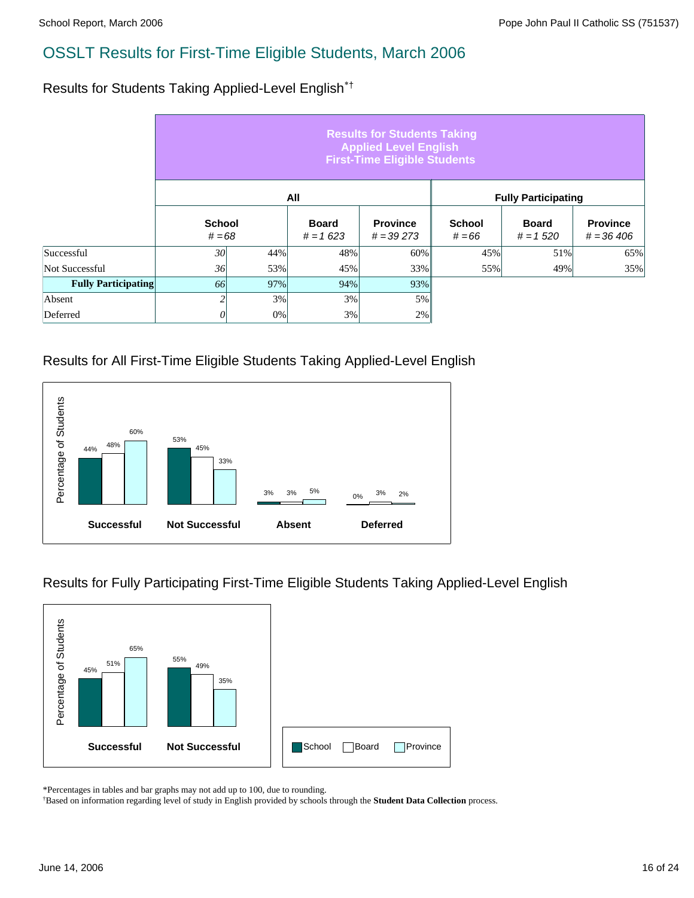Results for Students Taking Applied-Level English\*†

|                            | <b>Results for Students Taking</b><br><b>Applied Level English</b><br><b>First-Time Eligible Students</b> |                           |     |                                |                           |                            |                                 |  |  |  |  |  |  |
|----------------------------|-----------------------------------------------------------------------------------------------------------|---------------------------|-----|--------------------------------|---------------------------|----------------------------|---------------------------------|--|--|--|--|--|--|
|                            | All<br><b>Fully Participating</b>                                                                         |                           |     |                                |                           |                            |                                 |  |  |  |  |  |  |
|                            |                                                                                                           | <b>School</b><br>$# = 68$ |     | <b>Province</b><br>$# = 39273$ | <b>School</b><br>$# = 66$ | <b>Board</b><br>$# = 1520$ | <b>Province</b><br>$# = 36,406$ |  |  |  |  |  |  |
| Successful                 | 30 <sup>l</sup>                                                                                           | 44%                       | 48% | 60%                            | 45%                       | 51%                        | 65%                             |  |  |  |  |  |  |
| Not Successful             | 36                                                                                                        | 53%                       | 45% | 33%                            | 55%                       | 49%                        | 35%                             |  |  |  |  |  |  |
| <b>Fully Participating</b> | 66                                                                                                        | 97%                       | 94% | 93%                            |                           |                            |                                 |  |  |  |  |  |  |
| Absent                     | ◠                                                                                                         | 3%                        | 3%  | 5%                             |                           |                            |                                 |  |  |  |  |  |  |
| Deferred                   | 3%<br>2%<br>$0\%$<br>0                                                                                    |                           |     |                                |                           |                            |                                 |  |  |  |  |  |  |

### Results for All First-Time Eligible Students Taking Applied-Level English



Results for Fully Participating First-Time Eligible Students Taking Applied-Level English



\*Percentages in tables and bar graphs may not add up to 100, due to rounding.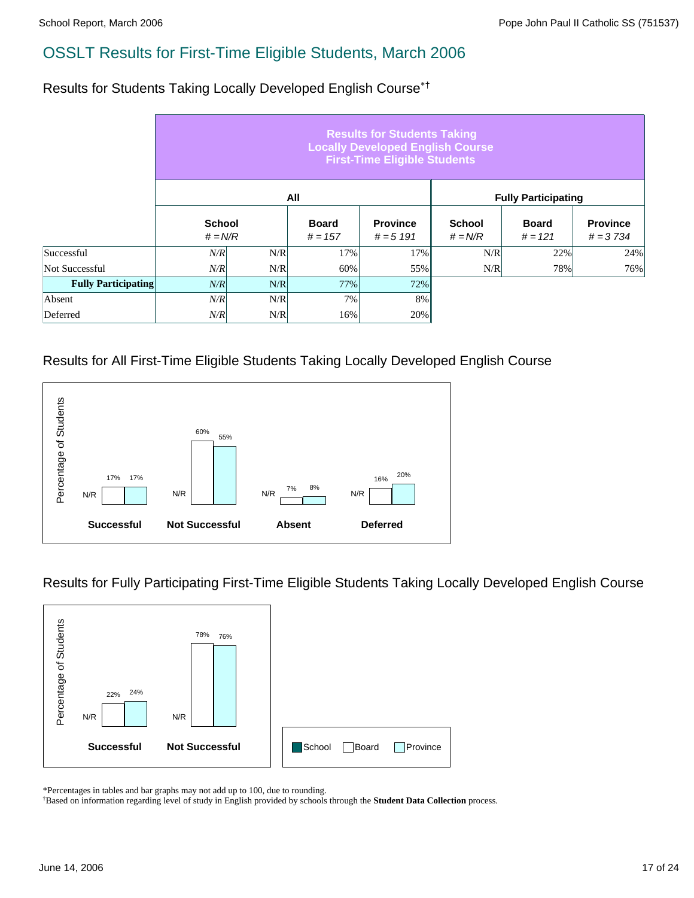Results for Students Taking Locally Developed English Course\*†

|                            | <b>Results for Students Taking</b><br><b>Locally Developed English Course</b><br><b>First-Time Eligible Students</b> |     |                           |                                |                            |                           |                               |  |  |  |  |  |
|----------------------------|----------------------------------------------------------------------------------------------------------------------|-----|---------------------------|--------------------------------|----------------------------|---------------------------|-------------------------------|--|--|--|--|--|
|                            | All<br><b>Fully Participating</b>                                                                                    |     |                           |                                |                            |                           |                               |  |  |  |  |  |
| <b>School</b><br>$# = N/R$ |                                                                                                                      |     | <b>Board</b><br>$# = 157$ | <b>Province</b><br>$# = 5 191$ | <b>School</b><br>$# = N/R$ | <b>Board</b><br>$# = 121$ | <b>Province</b><br>$# = 3734$ |  |  |  |  |  |
| Successful                 | N/R                                                                                                                  | N/R | 17%                       | 17%                            | N/R                        | 22%                       | 24%                           |  |  |  |  |  |
| Not Successful             | N/R                                                                                                                  | N/R | 60%                       | 55%                            | N/R                        | 78%                       | 76%                           |  |  |  |  |  |
| <b>Fully Participating</b> | N/R                                                                                                                  | N/R | 77%                       | 72%                            |                            |                           |                               |  |  |  |  |  |
| Absent                     | N/R                                                                                                                  | N/R | 7%                        | 8%                             |                            |                           |                               |  |  |  |  |  |
| Deferred                   | N/R<br>N/R<br>20%<br>16%                                                                                             |     |                           |                                |                            |                           |                               |  |  |  |  |  |

### Results for All First-Time Eligible Students Taking Locally Developed English Course



Results for Fully Participating First-Time Eligible Students Taking Locally Developed English Course



\*Percentages in tables and bar graphs may not add up to 100, due to rounding.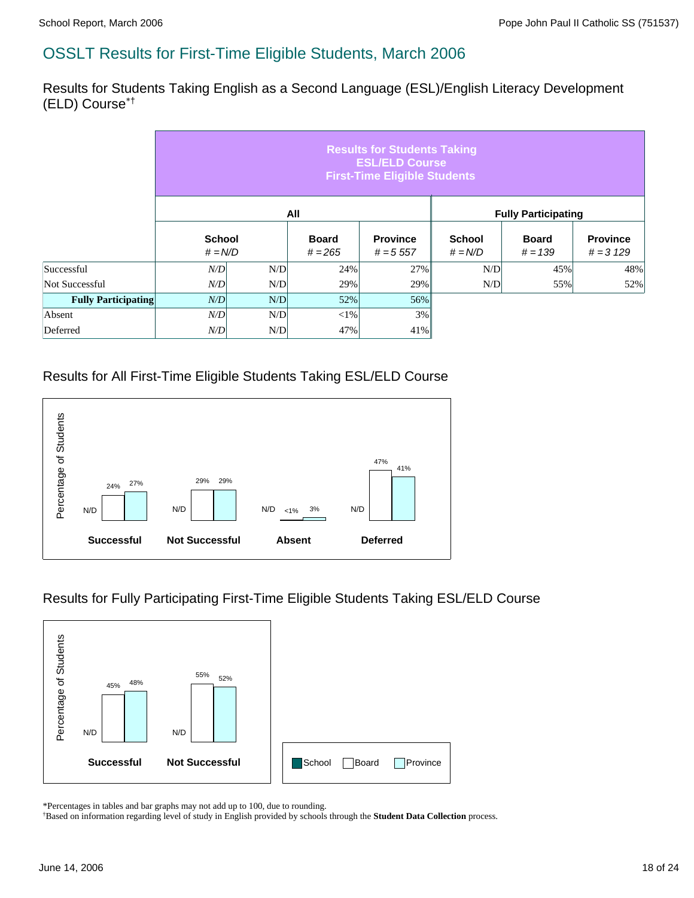Results for Students Taking English as a Second Language (ESL)/English Literacy Development (ELD) Course\*†

|                            | <b>Results for Students Taking</b><br><b>ESL/ELD Course</b><br><b>First-Time Eligible Students</b> |                            |                           |                               |                            |                           |                                |  |  |  |  |  |
|----------------------------|----------------------------------------------------------------------------------------------------|----------------------------|---------------------------|-------------------------------|----------------------------|---------------------------|--------------------------------|--|--|--|--|--|
|                            | <b>Fully Participating</b><br>All                                                                  |                            |                           |                               |                            |                           |                                |  |  |  |  |  |
|                            |                                                                                                    | <b>School</b><br>$# = N/D$ | <b>Board</b><br>$# = 265$ | <b>Province</b><br>$# = 5557$ | <b>School</b><br>$# = N/D$ | <b>Board</b><br>$# = 139$ | <b>Province</b><br>$# = 3 129$ |  |  |  |  |  |
| Successful                 | N/D                                                                                                | N/D                        | 24%                       | 27%                           | N/D                        | 45%                       | 48%                            |  |  |  |  |  |
| Not Successful             | N/D                                                                                                | N/D                        | 29%                       | 29%                           | N/D                        | 55%                       | 52%                            |  |  |  |  |  |
| <b>Fully Participating</b> | N/D                                                                                                | N/D                        | 52%                       | 56%                           |                            |                           |                                |  |  |  |  |  |
| Absent                     | N/D                                                                                                | N/D                        | $<$ 1%                    | 3%                            |                            |                           |                                |  |  |  |  |  |
| Deferred                   | N/D                                                                                                | N/D                        |                           |                               |                            |                           |                                |  |  |  |  |  |

#### Results for All First-Time Eligible Students Taking ESL/ELD Course



#### Results for Fully Participating First-Time Eligible Students Taking ESL/ELD Course



\*Percentages in tables and bar graphs may not add up to 100, due to rounding.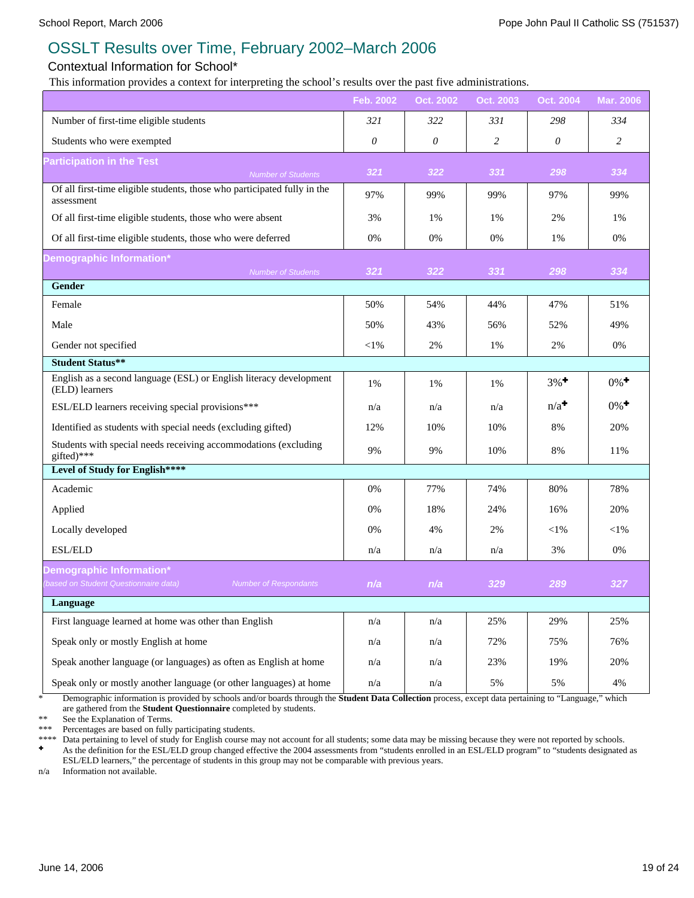### OSSLT Results over Time, February 2002–March 2006

#### Contextual Information for School\*

This information provides a context for interpreting the school's results over the past five administrations.

|                                                                                                       | <b>Feb. 2002</b> | Oct. 2002 | Oct. 2003 | Oct. 2004          | <b>Mar. 2006</b>   |
|-------------------------------------------------------------------------------------------------------|------------------|-----------|-----------|--------------------|--------------------|
| Number of first-time eligible students                                                                | 321              | 322       | 331       | 298                | 334                |
| Students who were exempted                                                                            | 0                | 0         | 2         | 0                  | 2                  |
| <b>articipation in the Test</b>                                                                       | 321              | 322       | 331       | 298                | 334                |
| <b>Number of Students</b><br>Of all first-time eligible students, those who participated fully in the |                  |           |           |                    |                    |
| assessment                                                                                            | 97%              | 99%       | 99%       | 97%                | 99%                |
| Of all first-time eligible students, those who were absent                                            | 3%               | 1%        | 1%        | 2%                 | $1\%$              |
| Of all first-time eligible students, those who were deferred                                          | 0%               | 0%        | 0%        | 1%                 | 0%                 |
| Demographic Information*                                                                              |                  |           |           |                    |                    |
| <b>Number of Students</b><br>Gender                                                                   | 321              | 322       | 331       | 298                | 334                |
| Female                                                                                                | 50%              | 54%       | 44%       | 47%                | 51%                |
| Male                                                                                                  | 50%              | 43%       | 56%       | 52%                | 49%                |
| Gender not specified                                                                                  | $<$ 1%           | 2%        | 1%        | 2%                 | 0%                 |
| <b>Student Status**</b>                                                                               |                  |           |           |                    |                    |
| English as a second language (ESL) or English literacy development<br>(ELD) learners                  | 1%               | 1%        | 1%        | $3\%$ <sup>+</sup> | $0\%$ <sup>+</sup> |
| ESL/ELD learners receiving special provisions***                                                      | n/a              | n/a       | n/a       | $n/a^+$            | $0\%$ <sup>+</sup> |
| Identified as students with special needs (excluding gifted)                                          | 12%              | 10%       | 10%       | 8%                 | 20%                |
| Students with special needs receiving accommodations (excluding<br>gifted)***                         | 9%               | 9%        | 10%       | 8%                 | 11%                |
| Level of Study for English****                                                                        |                  |           |           |                    |                    |
| Academic                                                                                              | 0%               | 77%       | 74%       | 80%                | 78%                |
| Applied                                                                                               | 0%               | 18%       | 24%       | 16%                | 20%                |
| Locally developed                                                                                     | 0%               | 4%        | 2%        | $<$ l $%$          | $<$ 1%             |
| ESL/ELD                                                                                               | n/a              | n/a       | n/a       | 3%                 | 0%                 |
| Demographic Information*                                                                              |                  |           |           |                    |                    |
| based on Student Questionnaire data)<br><b>Number of Respondants</b>                                  | n/a              | n/a       | 329       | 289                | 327                |
| Language                                                                                              |                  |           |           |                    |                    |
| First language learned at home was other than English                                                 | n/a              | n/a       | 25%       | 29%                | 25%                |
| Speak only or mostly English at home                                                                  | n/a              | n/a       | 72%       | 75%                | 76%                |
| Speak another language (or languages) as often as English at home                                     | n/a              | n/a       | 23%       | 19%                | 20%                |
| Speak only or mostly another language (or other languages) at home                                    | n/a              | n/a       | 5%        | 5%                 | 4%                 |

\* Demographic information is provided by schools and/or boards through the **Student Data Collection** process, except data pertaining to "Language," which are gathered from the **Student Questionnaire** completed by students.

\*\* See the Explanation of Terms.<br>\*\*\* Percentages are based on fully

Percentages are based on fully participating students.

\*\*\*\* Data pertaining to level of study for English course may not account for all students; some data may be missing because they were not reported by schools.

As the definition for the ESL/ELD group changed effective the 2004 assessments from "students enrolled in an ESL/ELD program" to "students designated as ESL/ELD learners," the percentage of students in this group may not be comparable with previous years.

n/a Information not available.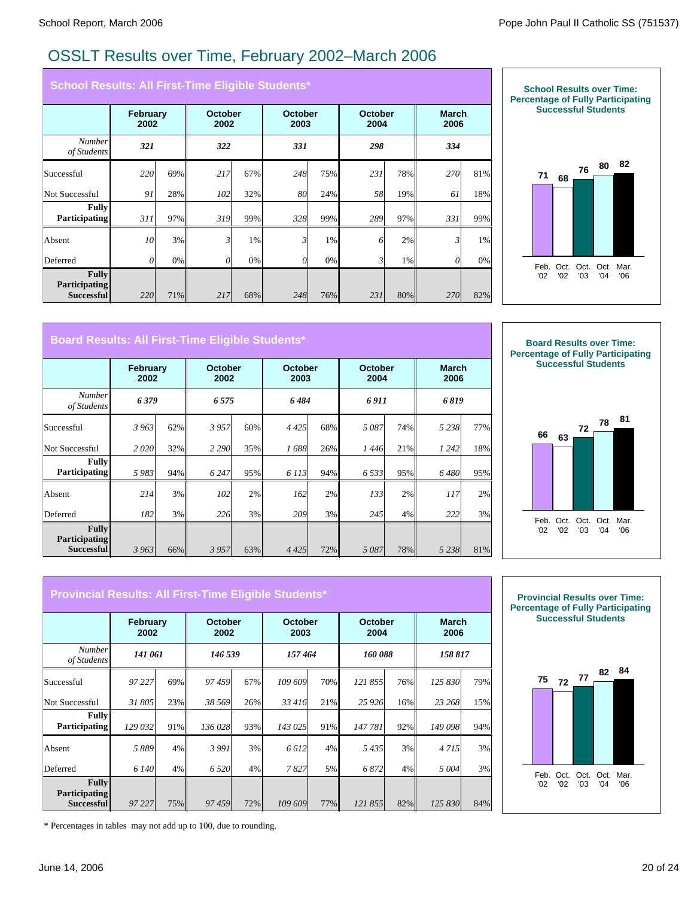# OSSLT Results over Time, February 2002–March 2006

|                                                    | <b>School Results: All First-Time Eligible Students*</b> |     |                 |       |                 |       |                 |     |                      |     |  |  |  |
|----------------------------------------------------|----------------------------------------------------------|-----|-----------------|-------|-----------------|-------|-----------------|-----|----------------------|-----|--|--|--|
|                                                    | <b>February</b><br>2002                                  |     | October<br>2002 |       | October<br>2003 |       | October<br>2004 |     | <b>March</b><br>2006 |     |  |  |  |
| <b>Number</b><br>of Students                       | 321                                                      |     | 322             |       | 331             |       | 298             |     | 334                  |     |  |  |  |
| Successful                                         | <b>220</b>                                               | 69% | 217             | 67%   | 248             | 75%   | 231             | 78% | <b>270</b>           | 81% |  |  |  |
| Not Successful                                     | 91                                                       | 28% | 102             | 32%   | 80              | 24%   | 58              | 19% | 61                   | 18% |  |  |  |
| <b>Fully</b><br><b>Participating</b>               | 311                                                      | 97% | 319             | 99%   | 328             | 99%   | 289             | 97% | 331                  | 99% |  |  |  |
| Absent                                             | 10                                                       | 3%  | 3               | $1\%$ | 3               | 1%    | 6               | 2%  | $\mathfrak{z}$       | 1%  |  |  |  |
| Deferred                                           | 0                                                        | 0%  | 0               | $0\%$ | 0               | $0\%$ | 3               | 1%  | $\theta$             | 0%  |  |  |  |
| <b>Fully</b><br><b>Participating</b><br>Successful | <b>220</b>                                               | 71% | 217             | 68%   | 248             | 76%   | 231             | 80% | 270                  | 82% |  |  |  |



#### **Board Results: All First-Time Eligible Students\***

|                                                           | February<br>2002 |     | <b>October</b><br>2002 |     | <b>October</b><br>2003 |     | <b>October</b><br>2004 |     | <b>March</b><br>2006 |     |  |
|-----------------------------------------------------------|------------------|-----|------------------------|-----|------------------------|-----|------------------------|-----|----------------------|-----|--|
| <b>Number</b><br>of Students                              | 6379             |     | 6575                   |     | 6484                   |     | 6911                   |     | 6819                 |     |  |
| Successful                                                | 3 963            | 62% | 3957                   | 60% | 4425                   | 68% | 5087                   | 74% | 5238                 | 77% |  |
| Not Successful                                            | 2020             | 32% | 2 2 9 0                | 35% | 1688                   | 26% | 1 446                  | 21% | 1 242                | 18% |  |
| <b>Fully</b><br>Participating                             | 5983             | 94% | 6 2 4 7                | 95% | 6 1 1 3                | 94% | 6 5 3 3 1              | 95% | 6480                 | 95% |  |
| Absent                                                    | 214              | 3%  | 102                    | 2%  | 162                    | 2%  | 133                    | 2%  | 117                  | 2%  |  |
| Deferred                                                  | 182              | 3%  | 226                    | 3%  | 209                    | 3%  | 245                    | 4%  | 222                  | 3%  |  |
| <b>Fully</b><br><b>Participating</b><br><b>Successful</b> | 3 963            | 66% | 3957                   | 63% | 4425                   | 72% | 5087                   | 78% | 5 2 3 8 1            | 81% |  |



'02 '02 '03 '04 '06

|                                                    | <b>Provincial Results: All First-Time Eligible Students*</b> |     |                        |       |                 |     |                 |     |                      |     |  |  |  |
|----------------------------------------------------|--------------------------------------------------------------|-----|------------------------|-------|-----------------|-----|-----------------|-----|----------------------|-----|--|--|--|
|                                                    | <b>February</b><br>2002                                      |     | <b>October</b><br>2002 |       | October<br>2003 |     | October<br>2004 |     | <b>March</b><br>2006 |     |  |  |  |
| Number<br>of Students                              | 141 061                                                      |     | 146 539                |       | 157464          |     | 160088          |     | 158 817              |     |  |  |  |
| Successful                                         | 97 227                                                       | 69% | 97459                  | 67%   | 109 609         | 70% | 121 855         | 76% | 125 830              | 79% |  |  |  |
| <b>Not Successful</b>                              | 31 805                                                       | 23% | 38 569                 | 26%   | 33 416          | 21% | 25 9 26         | 16% | 23 268               | 15% |  |  |  |
| <b>Fully</b><br><b>Participating</b>               | 129 032                                                      | 91% | 136 028                | 93%   | 143 025         | 91% | 147 781         | 92% | 149 0981             | 94% |  |  |  |
| Absent                                             | 5889                                                         | 4%  | 3 9 9 1                | 3%    | 6612            | 4%  | 5435            | 3%  | 4 7 1 5 1            | 3%  |  |  |  |
| Deferred                                           | 6 140                                                        | 4%  | 6 5 20                 | $4\%$ | 7827            | 5%  | 6872            | 4%  | 5 004                | 3%  |  |  |  |
| Fullv<br><b>Participating</b><br><b>Successful</b> | 97 227                                                       | 75% | 97459                  | 72%   | 109 609         | 77% | 121 855         | 82% | 125 830              | 84% |  |  |  |



\* Percentages in tables may not add up to 100, due to rounding.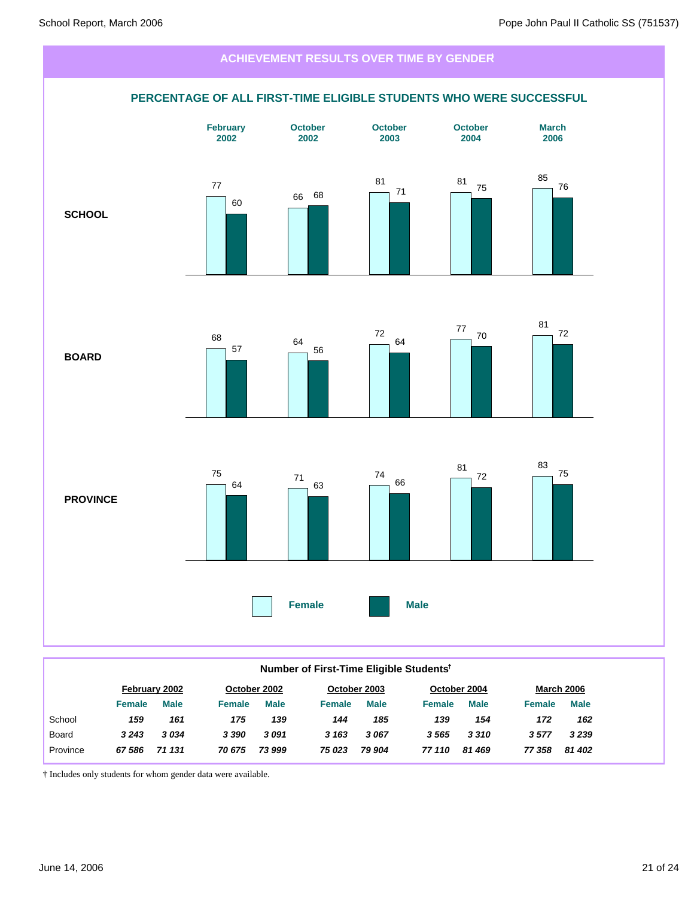

#### **Number of First-Time Eligible Students†**

|              | February 2002 |             | October 2002  |             | October 2003  |             | October 2004  |             | <b>March 2006</b> |             |
|--------------|---------------|-------------|---------------|-------------|---------------|-------------|---------------|-------------|-------------------|-------------|
|              | <b>Female</b> | <b>Male</b> | <b>Female</b> | <b>Male</b> | <b>Female</b> | <b>Male</b> | <b>Female</b> | <b>Male</b> | <b>Female</b>     | <b>Male</b> |
| School       | 159           | 161         | 175           | 139         | 144           | 185         | 139           | 154         | 172               | 162         |
| <b>Board</b> | 3 2 4 3       | 3034        | 3 3 9 0       | 3091        | 3 1 6 3       | 3067        | 3565          | 3310        | 3577              | 3 2 3 9     |
| Province     | 67 586        | 71 131      | 70 675        | 73 999      | 75 023        | 79 904      | 77 110        | 81469       | 77 358            | 81 402      |

† Includes only students for whom gender data were available.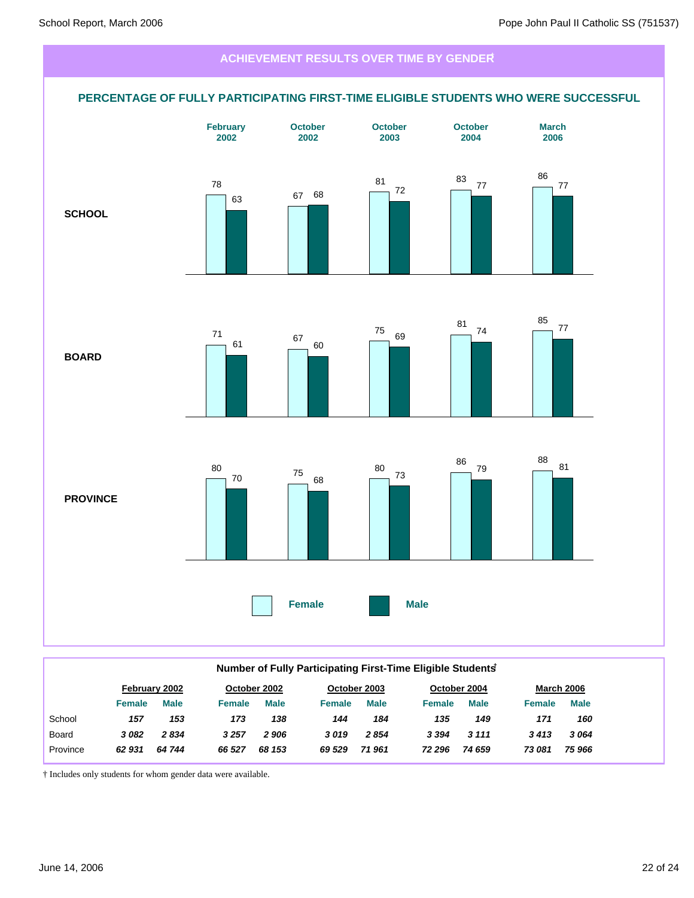

| Number of Fully Participating First-Time Eligible Students |                                                                                    |             |               |             |               |             |               |             |               |             |  |
|------------------------------------------------------------|------------------------------------------------------------------------------------|-------------|---------------|-------------|---------------|-------------|---------------|-------------|---------------|-------------|--|
|                                                            | <b>March 2006</b><br>October 2004<br>October 2002<br>October 2003<br>February 2002 |             |               |             |               |             |               |             |               |             |  |
|                                                            | <b>Female</b>                                                                      | <b>Male</b> | <b>Female</b> | <b>Male</b> | <b>Female</b> | <b>Male</b> | <b>Female</b> | <b>Male</b> | <b>Female</b> | <b>Male</b> |  |
| School                                                     | 157                                                                                | 153         | 173           | 138         | 144           | 184         | 135           | 149         | 171           | 160         |  |
| <b>Board</b>                                               | 3082                                                                               | 2834        | 3 2 5 7       | 2 906       | 3019          | 2854        | 3 3 9 4       | 3 1 1 1     | 3413          | 3064        |  |
| Province                                                   | 62 931                                                                             | 64 744      | 66 527        | 68 153      | 69 529        | 71961       | 72 296        | 74 659      | 73 081        | 75 966      |  |

† Includes only students for whom gender data were available.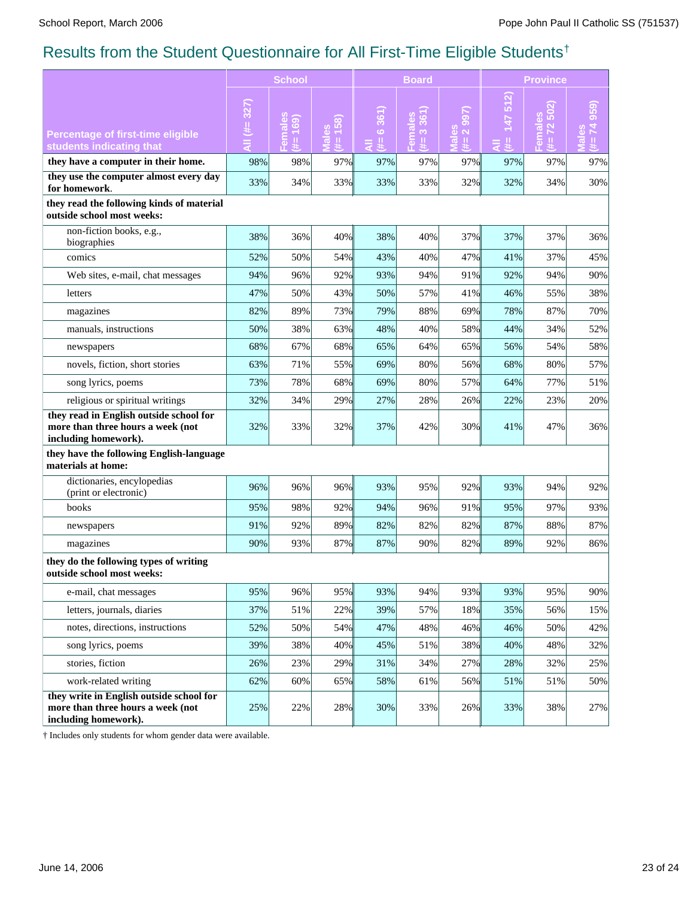# Results from the Student Questionnaire for All First-Time Eligible Students†

|                                                                                                       | <b>School</b>          |         |                           |                            | <b>Board</b>                         |                                         | <b>Province</b> |         |     |
|-------------------------------------------------------------------------------------------------------|------------------------|---------|---------------------------|----------------------------|--------------------------------------|-----------------------------------------|-----------------|---------|-----|
| <b>Percentage of first-time eligible</b><br>students indicating that                                  | $\frac{11}{4}$ (#= 327 | ဒီ<br>4 | <u>ທ</u><br>#<br>$\sigma$ | $\frac{26}{36}$<br>ဖ<br>#= | $\frac{36}{7}$<br>$\infty$<br>4<br>ō | ၜၟ<br>$\overline{\mathbf{C}}$<br>⋣<br>œ | 512<br>147<br>4 | LQ<br>4 | ш   |
| they have a computer in their home.                                                                   | 98%                    | 98%     | 97%                       | 97%                        | 97%                                  | 97%                                     | 97%             | 97%     | 97% |
| they use the computer almost every day<br>for homework.                                               | 33%                    | 34%     | 33%                       | 33%                        | 33%                                  | 32%                                     | 32%             | 34%     | 30% |
| they read the following kinds of material<br>outside school most weeks:                               |                        |         |                           |                            |                                      |                                         |                 |         |     |
| non-fiction books, e.g.,<br>biographies                                                               | 38%                    | 36%     | 40%                       | 38%                        | 40%                                  | 37%                                     | 37%             | 37%     | 36% |
| comics                                                                                                | 52%                    | 50%     | 54%                       | 43%                        | 40%                                  | 47%                                     | 41%             | 37%     | 45% |
| Web sites, e-mail, chat messages                                                                      | 94%                    | 96%     | 92%                       | 93%                        | 94%                                  | 91%                                     | 92%             | 94%     | 90% |
| letters                                                                                               | 47%                    | 50%     | 43%                       | 50%                        | 57%                                  | 41%                                     | 46%             | 55%     | 38% |
| magazines                                                                                             | 82%                    | 89%     | 73%                       | 79%                        | 88%                                  | 69%                                     | 78%             | 87%     | 70% |
| manuals, instructions                                                                                 | 50%                    | 38%     | 63%                       | 48%                        | 40%                                  | 58%                                     | 44%             | 34%     | 52% |
| newspapers                                                                                            | 68%                    | 67%     | 68%                       | 65%                        | 64%                                  | 65%                                     | 56%             | 54%     | 58% |
| novels, fiction, short stories                                                                        | 63%                    | 71%     | 55%                       | 69%                        | 80%                                  | 56%                                     | 68%             | 80%     | 57% |
| song lyrics, poems                                                                                    | 73%                    | 78%     | 68%                       | 69%                        | 80%                                  | 57%                                     | 64%             | 77%     | 51% |
| religious or spiritual writings                                                                       | 32%                    | 34%     | 29%                       | 27%                        | 28%                                  | 26%                                     | 22%             | 23%     | 20% |
| they read in English outside school for<br>more than three hours a week (not<br>including homework).  | 32%                    | 33%     | 32%                       | 37%                        | 42%                                  | 30%                                     | 41%             | 47%     | 36% |
| they have the following English-language<br>materials at home:                                        |                        |         |                           |                            |                                      |                                         |                 |         |     |
| dictionaries, encylopedias                                                                            | 96%                    | 96%     | 96%                       | 93%                        | 95%                                  | 92%                                     | 93%             | 94%     | 92% |
| (print or electronic)<br>books                                                                        | 95%                    | 98%     | 92%                       | 94%                        | 96%                                  | 91%                                     | 95%             | 97%     | 93% |
| newspapers                                                                                            | 91%                    | 92%     | 89%                       | 82%                        | 82%                                  | 82%                                     | 87%             | 88%     | 87% |
| magazines                                                                                             | 90%                    | 93%     | 87%                       | 87%                        | 90%                                  | 82%                                     | 89%             | 92%     | 86% |
| they do the following types of writing<br>outside school most weeks:                                  |                        |         |                           |                            |                                      |                                         |                 |         |     |
| e-mail, chat messages                                                                                 | 95%                    | 96%     | 95%                       | 93%                        | 94%                                  | 93%                                     | 93%             | 95%     | 90% |
| letters, journals, diaries                                                                            | 37%                    | 51%     | 22%                       | 39%                        | 57%                                  | 18%                                     | 35%             | 56%     | 15% |
| notes, directions, instructions                                                                       | 52%                    | 50%     | 54%                       | 47%                        | 48%                                  | 46%                                     | 46%             | 50%     | 42% |
| song lyrics, poems                                                                                    | 39%                    | 38%     | 40%                       | 45%                        | 51%                                  | 38%                                     | 40%             | 48%     | 32% |
| stories, fiction                                                                                      | 26%                    | 23%     | 29%                       | 31%                        | 34%                                  | 27%                                     | 28%             | 32%     | 25% |
| work-related writing                                                                                  | 62%                    | 60%     | 65%                       | 58%                        | 61%                                  | 56%                                     | 51%             | 51%     | 50% |
| they write in English outside school for<br>more than three hours a week (not<br>including homework). | 25%                    | 22%     | 28%                       | 30%                        | 33%                                  | 26%                                     | 33%             | 38%     | 27% |

† Includes only students for whom gender data were available.